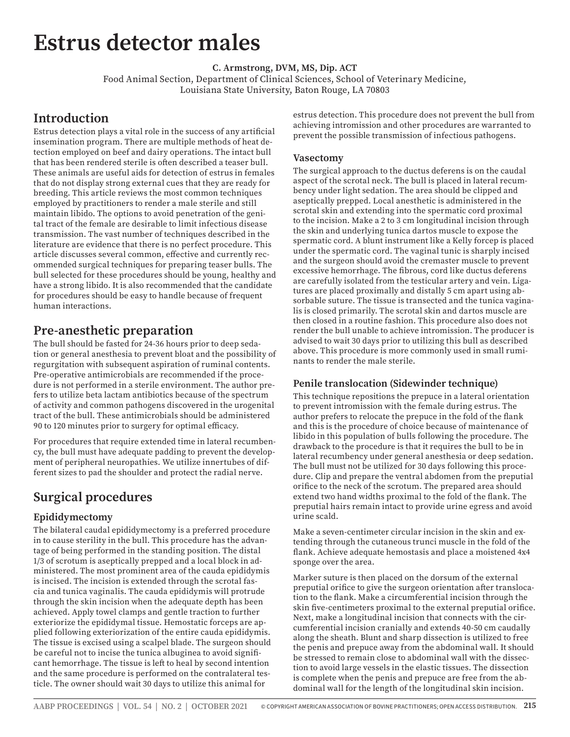# **Estrus detector males**

**C. Armstrong, DVM, MS, Dip. ACT**

Food Animal Section, Department of Clinical Sciences, School of Veterinary Medicine, Louisiana State University, Baton Rouge, LA 70803

## **Introduction**

Estrus detection plays a vital role in the success of any artificial insemination program. There are multiple methods of heat detection employed on beef and dairy operations. The intact bull that has been rendered sterile is often described a teaser bull. These animals are useful aids for detection of estrus in females that do not display strong external cues that they are ready for breeding. This article reviews the most common techniques employed by practitioners to render a male sterile and still maintain libido. The options to avoid penetration of the genital tract of the female are desirable to limit infectious disease transmission. The vast number of techniques described in the literature are evidence that there is no perfect procedure. This article discusses several common, effective and currently recommended surgical techniques for preparing teaser bulls. The bull selected for these procedures should be young, healthy and have a strong libido. It is also recommended that the candidate for procedures should be easy to handle because of frequent human interactions.

## **Pre-anesthetic preparation**

The bull should be fasted for 24-36 hours prior to deep sedation or general anesthesia to prevent bloat and the possibility of regurgitation with subsequent aspiration of ruminal contents. Pre-operative antimicrobials are recommended if the procedure is not performed in a sterile environment. The author prefers to utilize beta lactam antibiotics because of the spectrum of activity and common pathogens discovered in the urogenital tract of the bull. These antimicrobials should be administered 90 to 120 minutes prior to surgery for optimal efficacy.

For procedures that require extended time in lateral recumbency, the bull must have adequate padding to prevent the development of peripheral neuropathies. We utilize innertubes of different sizes to pad the shoulder and protect the radial nerve.

## **Surgical procedures**

### **Epididymectomy**

The bilateral caudal epididymectomy is a preferred procedure in to cause sterility in the bull. This procedure has the advantage of being performed in the standing position. The distal 1/3 of scrotum is aseptically prepped and a local block in administered. The most prominent area of the cauda epididymis is incised. The incision is extended through the scrotal fascia and tunica vaginalis. The cauda epididymis will protrude through the skin incision when the adequate depth has been achieved. Apply towel clamps and gentle traction to further exteriorize the epididymal tissue. Hemostatic forceps are applied following exteriorization of the entire cauda epididymis. The tissue is excised using a scalpel blade. The surgeon should be careful not to incise the tunica albuginea to avoid significant hemorrhage. The tissue is left to heal by second intention and the same procedure is performed on the contralateral testicle. The owner should wait 30 days to utilize this animal for

estrus detection. This procedure does not prevent the bull from achieving intromission and other procedures are warranted to prevent the possible transmission of infectious pathogens.

#### **Vasectomy**

The surgical approach to the ductus deferens is on the caudal aspect of the scrotal neck. The bull is placed in lateral recumbency under light sedation. The area should be clipped and aseptically prepped. Local anesthetic is administered in the scrotal skin and extending into the spermatic cord proximal to the incision. Make a 2 to 3 cm longitudinal incision through the skin and underlying tunica dartos muscle to expose the spermatic cord. A blunt instrument like a Kelly forcep is placed under the spermatic cord. The vaginal tunic is sharply incised and the surgeon should avoid the cremaster muscle to prevent excessive hemorrhage. The fibrous, cord like ductus deferens are carefully isolated from the testicular artery and vein. Ligatures are placed proximally and distally 5 cm apart using absorbable suture. The tissue is transected and the tunica vaginalis is closed primarily. The scrotal skin and dartos muscle are then closed in a routine fashion. This procedure also does not render the bull unable to achieve intromission. The producer is advised to wait 30 days prior to utilizing this bull as described above. This procedure is more commonly used in small ruminants to render the male sterile.

#### **Penile translocation (Sidewinder technique)**

This technique repositions the prepuce in a lateral orientation to prevent intromission with the female during estrus. The author prefers to relocate the prepuce in the fold of the flank and this is the procedure of choice because of maintenance of libido in this population of bulls following the procedure. The drawback to the procedure is that it requires the bull to be in lateral recumbency under general anesthesia or deep sedation. The bull must not be utilized for 30 days following this procedure. Clip and prepare the ventral abdomen from the preputial orifice to the neck of the scrotum. The prepared area should extend two hand widths proximal to the fold of the flank. The preputial hairs remain intact to provide urine egress and avoid urine scald.

Make a seven-centimeter circular incision in the skin and extending through the cutaneous trunci muscle in the fold of the flank. Achieve adequate hemostasis and place a moistened 4x4 sponge over the area.

Marker suture is then placed on the dorsum of the external preputial orifice to give the surgeon orientation after translocation to the flank. Make a circumferential incision through the skin five-centimeters proximal to the external preputial orifice. Next, make a longitudinal incision that connects with the circumferential incision cranially and extends 40-50 cm caudally along the sheath. Blunt and sharp dissection is utilized to free the penis and prepuce away from the abdominal wall. It should be stressed to remain close to abdominal wall with the dissection to avoid large vessels in the elastic tissues. The dissection is complete when the penis and prepuce are free from the abdominal wall for the length of the longitudinal skin incision.